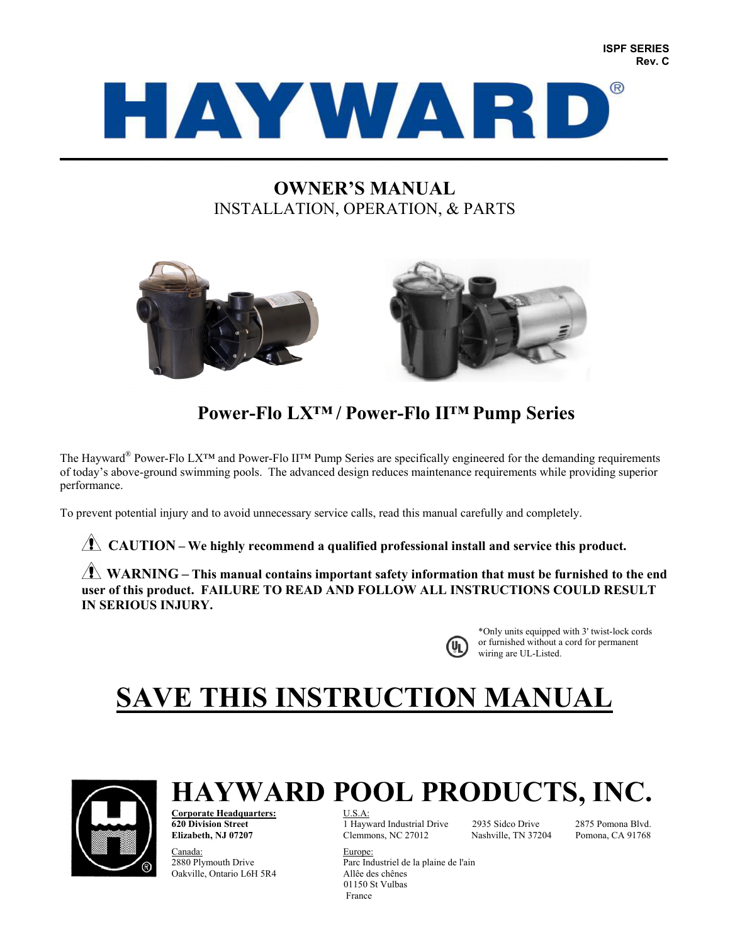

# **OWNER'S MANUAL**  INSTALLATION, OPERATION, & PARTS



# **Power-Flo LX™ / Power-Flo II™ Pump Series**

The Hayward® Power-Flo LX™ and Power-Flo II™ Pump Series are specifically engineered for the demanding requirements of today's above-ground swimming pools. The advanced design reduces maintenance requirements while providing superior performance.

To prevent potential injury and to avoid unnecessary service calls, read this manual carefully and completely.

**CAUTION** – We highly recommend a qualified professional install and service this product.

**WARNING** – This manual contains important safety information that must be furnished to the end **user of this product. FAILURE TO READ AND FOLLOW ALL INSTRUCTIONS COULD RESULT IN SERIOUS INJURY.** 



\*Only units equipped with 3' twist-lock cords or furnished without a cord for permanent wiring are UL-Listed.

# **SAVE THIS INSTRUCTION MANUAL**



**HAYWARD POOL PRODUCTS, INC.** Corporate Headquarters: **Corporate Headquarters:<br>620 Division Street** 

**620 Division Street** 1 Hayward Industrial Drive 2935 Sidco Drive 2875 Pomona Blvd. Clemmons, NC 27012 Nashville, TN 37204 Pomona, CA 91768

Canada: Europe: 2880 Plymouth Drive Parc Industriel de la plaine de l'ain Oakville, Ontario L6H 5R4 Allêe des chênes 01150 St Vulbas France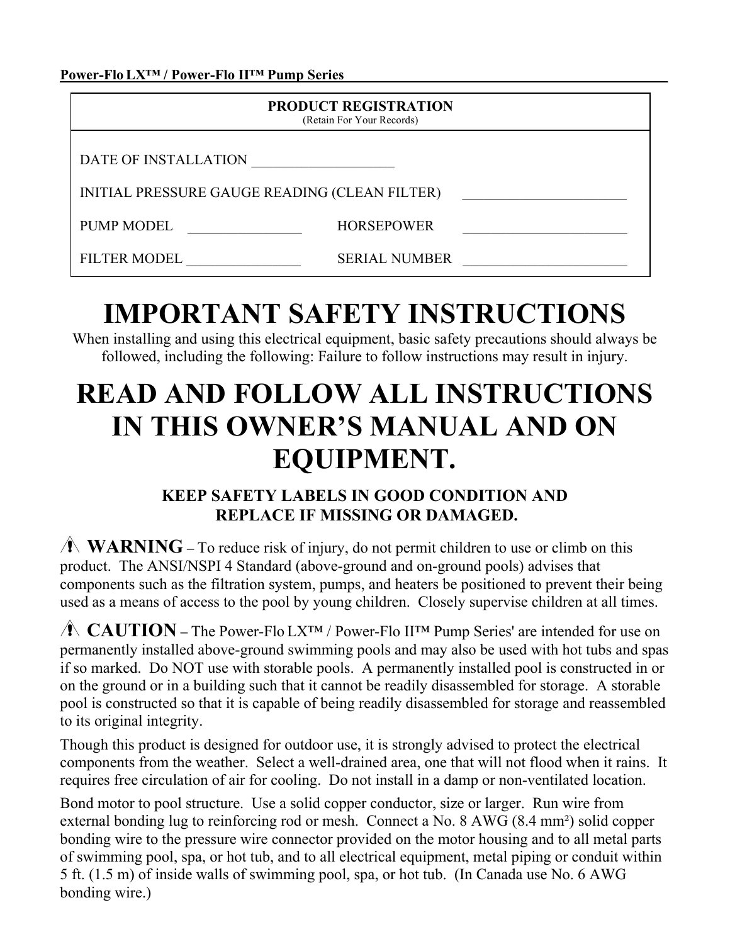Power-Flo LX<sup>™</sup> / Power-Flo II™ Pump Series

| <b>PRODUCT REGISTRATION</b><br>(Retain For Your Records) |                      |  |  |  |
|----------------------------------------------------------|----------------------|--|--|--|
| DATE OF INSTALLATION                                     |                      |  |  |  |
| INITIAL PRESSURE GAUGE READING (CLEAN FILTER)            |                      |  |  |  |
| <b>PUMP MODEL</b>                                        | <b>HORSEPOWER</b>    |  |  |  |
| <b>FILTER MODEL</b>                                      | <b>SERIAL NUMBER</b> |  |  |  |

# **IMPORTANT SAFETY INSTRUCTIONS**

When installing and using this electrical equipment, basic safety precautions should always be followed, including the following: Failure to follow instructions may result in injury.

# **READ AND FOLLOW ALL INSTRUCTIONS IN THIS OWNER'S MANUAL AND ON EQUIPMENT.**

# **KEEP SAFETY LABELS IN GOOD CONDITION AND REPLACE IF MISSING OR DAMAGED.**

**WARNING** – To reduce risk of injury, do not permit children to use or climb on this product. The ANSI/NSPI 4 Standard (above-ground and on-ground pools) advises that components such as the filtration system, pumps, and heaters be positioned to prevent their being used as a means of access to the pool by young children. Closely supervise children at all times.

 **CAUTION –** The Power-Flo LX™ / Power-Flo II™ Pump Series' are intended for use on permanently installed above-ground swimming pools and may also be used with hot tubs and spas if so marked. Do NOT use with storable pools. A permanently installed pool is constructed in or on the ground or in a building such that it cannot be readily disassembled for storage. A storable pool is constructed so that it is capable of being readily disassembled for storage and reassembled to its original integrity.

Though this product is designed for outdoor use, it is strongly advised to protect the electrical components from the weather. Select a well-drained area, one that will not flood when it rains. It requires free circulation of air for cooling. Do not install in a damp or non-ventilated location.

Bond motor to pool structure. Use a solid copper conductor, size or larger. Run wire from external bonding lug to reinforcing rod or mesh. Connect a No. 8 AWG (8.4 mm²) solid copper bonding wire to the pressure wire connector provided on the motor housing and to all metal parts of swimming pool, spa, or hot tub, and to all electrical equipment, metal piping or conduit within 5 ft. (1.5 m) of inside walls of swimming pool, spa, or hot tub. (In Canada use No. 6 AWG bonding wire.)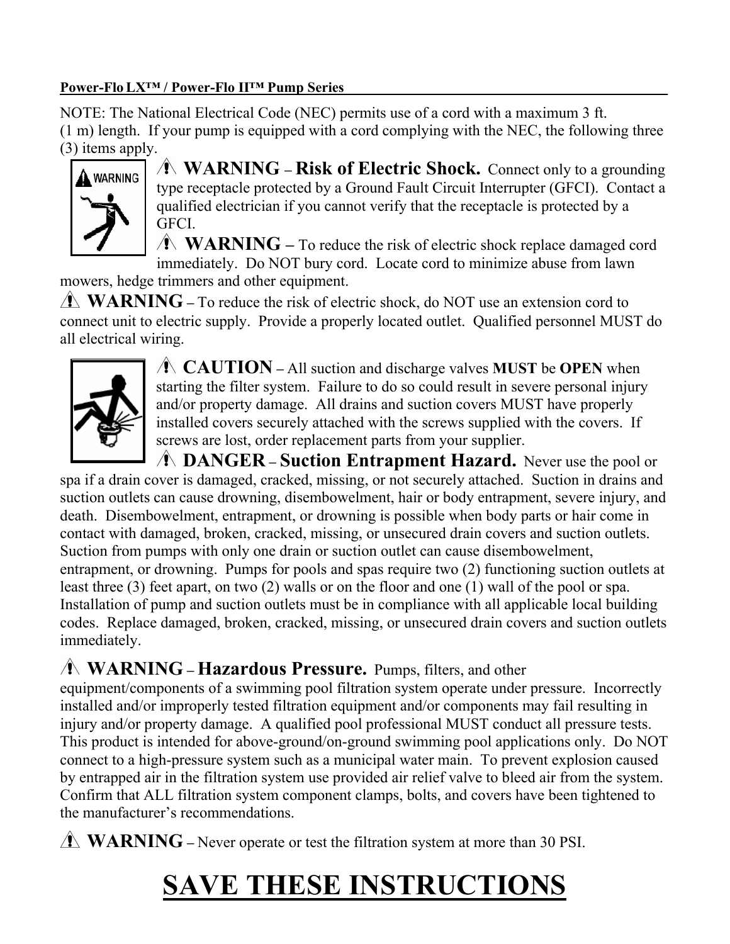# Power-Flo LX<sup>™</sup> / Power-Flo II™ Pump Series

NOTE: The National Electrical Code (NEC) permits use of a cord with a maximum 3 ft. (1 m) length. If your pump is equipped with a cord complying with the NEC, the following three (3) items apply.



 **WARNING – Risk of Electric Shock.** Connect only to a grounding type receptacle protected by a Ground Fault Circuit Interrupter (GFCI). Contact a qualified electrician if you cannot verify that the receptacle is protected by a GFCI.

**WARNING** – To reduce the risk of electric shock replace damaged cord immediately. Do NOT bury cord. Locate cord to minimize abuse from lawn

mowers, hedge trimmers and other equipment.

**WARNING** – To reduce the risk of electric shock, do NOT use an extension cord to connect unit to electric supply. Provide a properly located outlet. Qualified personnel MUST do all electrical wiring.



 **CAUTION –** All suction and discharge valves **MUST** be **OPEN** when starting the filter system. Failure to do so could result in severe personal injury and/or property damage. All drains and suction covers MUST have properly installed covers securely attached with the screws supplied with the covers. If screws are lost, order replacement parts from your supplier.

 **DANGER – Suction Entrapment Hazard.** Never use the pool or spa if a drain cover is damaged, cracked, missing, or not securely attached. Suction in drains and suction outlets can cause drowning, disembowelment, hair or body entrapment, severe injury, and death. Disembowelment, entrapment, or drowning is possible when body parts or hair come in contact with damaged, broken, cracked, missing, or unsecured drain covers and suction outlets. Suction from pumps with only one drain or suction outlet can cause disembowelment, entrapment, or drowning. Pumps for pools and spas require two (2) functioning suction outlets at least three (3) feet apart, on two (2) walls or on the floor and one (1) wall of the pool or spa. Installation of pump and suction outlets must be in compliance with all applicable local building codes. Replace damaged, broken, cracked, missing, or unsecured drain covers and suction outlets immediately.

# **WARNING – Hazardous Pressure.** Pumps, filters, and other

equipment/components of a swimming pool filtration system operate under pressure. Incorrectly installed and/or improperly tested filtration equipment and/or components may fail resulting in injury and/or property damage. A qualified pool professional MUST conduct all pressure tests. This product is intended for above-ground/on-ground swimming pool applications only. Do NOT connect to a high-pressure system such as a municipal water main. To prevent explosion caused by entrapped air in the filtration system use provided air relief valve to bleed air from the system. Confirm that ALL filtration system component clamps, bolts, and covers have been tightened to the manufacturer's recommendations.

**WARNING** – Never operate or test the filtration system at more than 30 PSI.

# **SAVE THESE INSTRUCTIONS**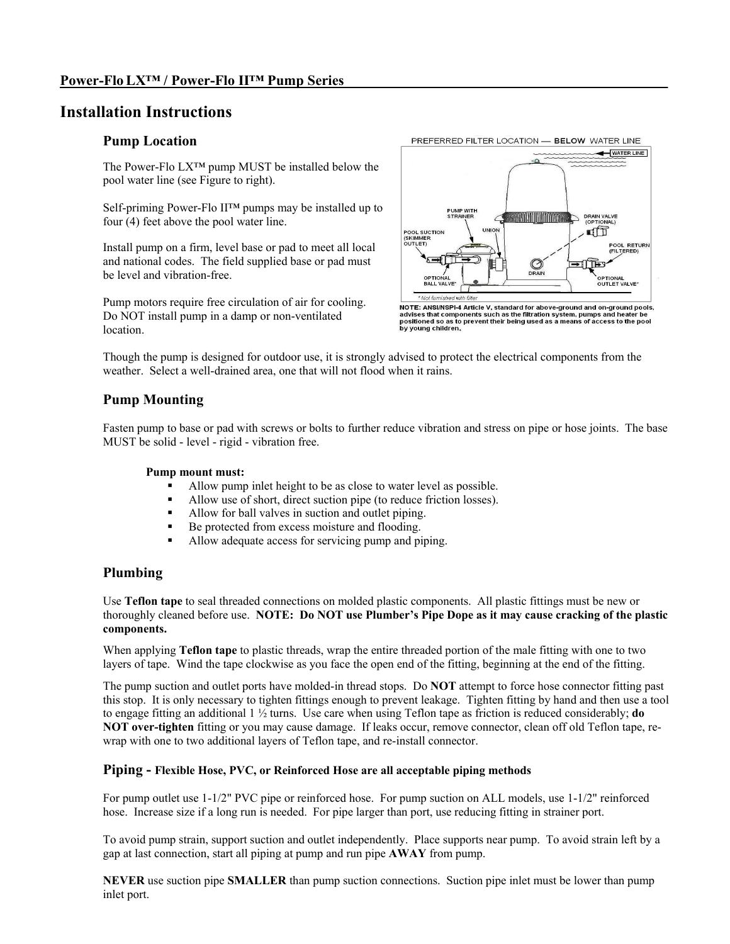## **Installation Instructions**

#### **Pump Location**

The Power-Flo LX™ pump MUST be installed below the pool water line (see Figure to right).

Self-priming Power-Flo II™ pumps may be installed up to four (4) feet above the pool water line.

Install pump on a firm, level base or pad to meet all local and national codes. The field supplied base or pad must be level and vibration-free.

Pump motors require free circulation of air for cooling. Do NOT install pump in a damp or non-ventilated location.



NOTE: ANSI/NSPI-4 Article V, standard for above-ground and on-ground pools, advises that components such as the filtration system, pumps and heater be positioned so as to prevent their being used as a means of access to th

Though the pump is designed for outdoor use, it is strongly advised to protect the electrical components from the weather. Select a well-drained area, one that will not flood when it rains.

#### **Pump Mounting**

Fasten pump to base or pad with screws or bolts to further reduce vibration and stress on pipe or hose joints. The base MUST be solid - level - rigid - vibration free.

#### **Pump mount must:**

- Allow pump inlet height to be as close to water level as possible.
- Allow use of short, direct suction pipe (to reduce friction losses).
- Allow for ball valves in suction and outlet piping.
- Be protected from excess moisture and flooding.
- Allow adequate access for servicing pump and piping.

#### **Plumbing**

Use **Teflon tape** to seal threaded connections on molded plastic components. All plastic fittings must be new or thoroughly cleaned before use. **NOTE: Do NOT use Plumber's Pipe Dope as it may cause cracking of the plastic components.** 

When applying **Teflon tape** to plastic threads, wrap the entire threaded portion of the male fitting with one to two layers of tape. Wind the tape clockwise as you face the open end of the fitting, beginning at the end of the fitting.

The pump suction and outlet ports have molded-in thread stops. Do **NOT** attempt to force hose connector fitting past this stop. It is only necessary to tighten fittings enough to prevent leakage. Tighten fitting by hand and then use a tool to engage fitting an additional 1 ½ turns. Use care when using Teflon tape as friction is reduced considerably; **do NOT over-tighten** fitting or you may cause damage. If leaks occur, remove connector, clean off old Teflon tape, rewrap with one to two additional layers of Teflon tape, and re-install connector.

#### **Piping - Flexible Hose, PVC, or Reinforced Hose are all acceptable piping methods**

For pump outlet use 1-1/2" PVC pipe or reinforced hose. For pump suction on ALL models, use 1-1/2" reinforced hose. Increase size if a long run is needed. For pipe larger than port, use reducing fitting in strainer port.

To avoid pump strain, support suction and outlet independently. Place supports near pump. To avoid strain left by a gap at last connection, start all piping at pump and run pipe **AWAY** from pump.

**NEVER** use suction pipe **SMALLER** than pump suction connections. Suction pipe inlet must be lower than pump inlet port.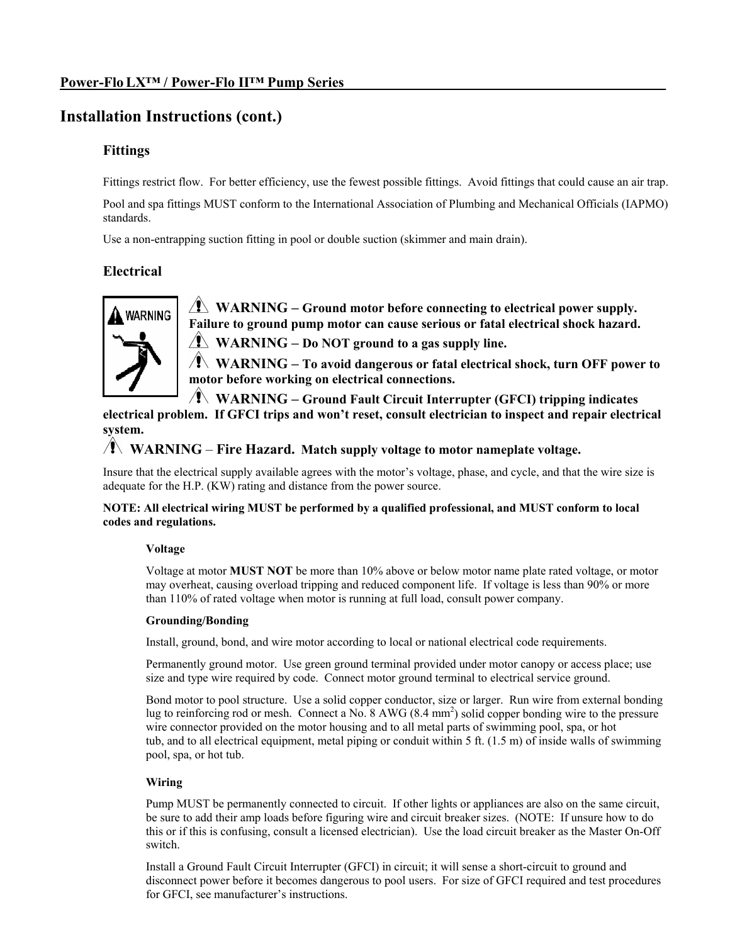# **Installation Instructions (cont.)**

## **Fittings**

Fittings restrict flow. For better efficiency, use the fewest possible fittings. Avoid fittings that could cause an air trap.

Pool and spa fittings MUST conform to the International Association of Plumbing and Mechanical Officials (IAPMO) standards.

Use a non-entrapping suction fitting in pool or double suction (skimmer and main drain).

## **Electrical**



 **WARNING – Ground motor before connecting to electrical power supply. Failure to ground pump motor can cause serious or fatal electrical shock hazard.** 

**WARNING – Do NOT ground to a gas supply line.** 

 **WARNING – To avoid dangerous or fatal electrical shock, turn OFF power to motor before working on electrical connections.**

**WARNING – Ground Fault Circuit Interrupter (GFCI) tripping indicates** 

**electrical problem. If GFCI trips and won't reset, consult electrician to inspect and repair electrical system.**

## **WARNING** – **Fire Hazard. Match supply voltage to motor nameplate voltage.**

Insure that the electrical supply available agrees with the motor's voltage, phase, and cycle, and that the wire size is adequate for the H.P. (KW) rating and distance from the power source.

#### **NOTE: All electrical wiring MUST be performed by a qualified professional, and MUST conform to local codes and regulations.**

#### **Voltage**

Voltage at motor **MUST NOT** be more than 10% above or below motor name plate rated voltage, or motor may overheat, causing overload tripping and reduced component life. If voltage is less than 90% or more than 110% of rated voltage when motor is running at full load, consult power company.

#### **Grounding/Bonding**

Install, ground, bond, and wire motor according to local or national electrical code requirements.

Permanently ground motor. Use green ground terminal provided under motor canopy or access place; use size and type wire required by code. Connect motor ground terminal to electrical service ground.

Bond motor to pool structure. Use a solid copper conductor, size or larger. Run wire from external bonding lug to reinforcing rod or mesh. Connect a No. 8 AWG (8.4 mm<sup>2</sup>) solid copper bonding wire to the pressure wire connector provided on the motor housing and to all metal parts of swimming pool, spa, or hot tub, and to all electrical equipment, metal piping or conduit within 5 ft. (1.5 m) of inside walls of swimming pool, spa, or hot tub.

#### **Wiring**

Pump MUST be permanently connected to circuit. If other lights or appliances are also on the same circuit, be sure to add their amp loads before figuring wire and circuit breaker sizes. (NOTE: If unsure how to do this or if this is confusing, consult a licensed electrician). Use the load circuit breaker as the Master On-Off switch.

Install a Ground Fault Circuit Interrupter (GFCI) in circuit; it will sense a short-circuit to ground and disconnect power before it becomes dangerous to pool users. For size of GFCI required and test procedures for GFCI, see manufacturer's instructions.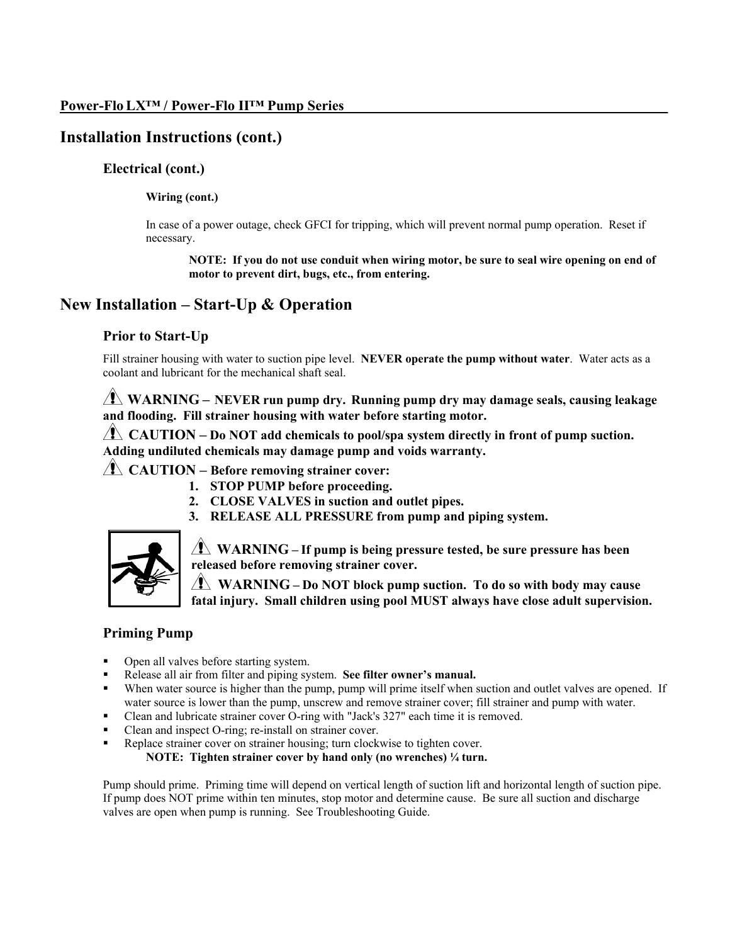# **Installation Instructions (cont.)**

#### **Electrical (cont.)**

#### **Wiring (cont.)**

In case of a power outage, check GFCI for tripping, which will prevent normal pump operation. Reset if necessary.

**NOTE: If you do not use conduit when wiring motor, be sure to seal wire opening on end of motor to prevent dirt, bugs, etc., from entering.**

## **New Installation – Start-Up & Operation**

#### **Prior to Start-Up**

Fill strainer housing with water to suction pipe level. **NEVER operate the pump without water**. Water acts as a coolant and lubricant for the mechanical shaft seal.

 **WARNING – NEVER run pump dry. Running pump dry may damage seals, causing leakage and flooding. Fill strainer housing with water before starting motor.**

**CAUTION – Do NOT add chemicals to pool/spa system directly in front of pump suction. Adding undiluted chemicals may damage pump and voids warranty.**

## **CAUTION – Before removing strainer cover:**

- **1. STOP PUMP before proceeding.**
- **2. CLOSE VALVES in suction and outlet pipes.**
- **3. RELEASE ALL PRESSURE from pump and piping system.**



 **WARNING – If pump is being pressure tested, be sure pressure has been released before removing strainer cover.** 

 **WARNING – Do NOT block pump suction. To do so with body may cause fatal injury. Small children using pool MUST always have close adult supervision.** 

## **Priming Pump**

- Open all valves before starting system.
- Release all air from filter and piping system. **See filter owner's manual.**
- When water source is higher than the pump, pump will prime itself when suction and outlet valves are opened. If water source is lower than the pump, unscrew and remove strainer cover; fill strainer and pump with water.
- Clean and lubricate strainer cover O-ring with "Jack's 327" each time it is removed.
- Clean and inspect O-ring; re-install on strainer cover.
- Replace strainer cover on strainer housing; turn clockwise to tighten cover.

**NOTE: Tighten strainer cover by hand only (no wrenches) ¼ turn.** 

Pump should prime. Priming time will depend on vertical length of suction lift and horizontal length of suction pipe. If pump does NOT prime within ten minutes, stop motor and determine cause. Be sure all suction and discharge valves are open when pump is running. See Troubleshooting Guide.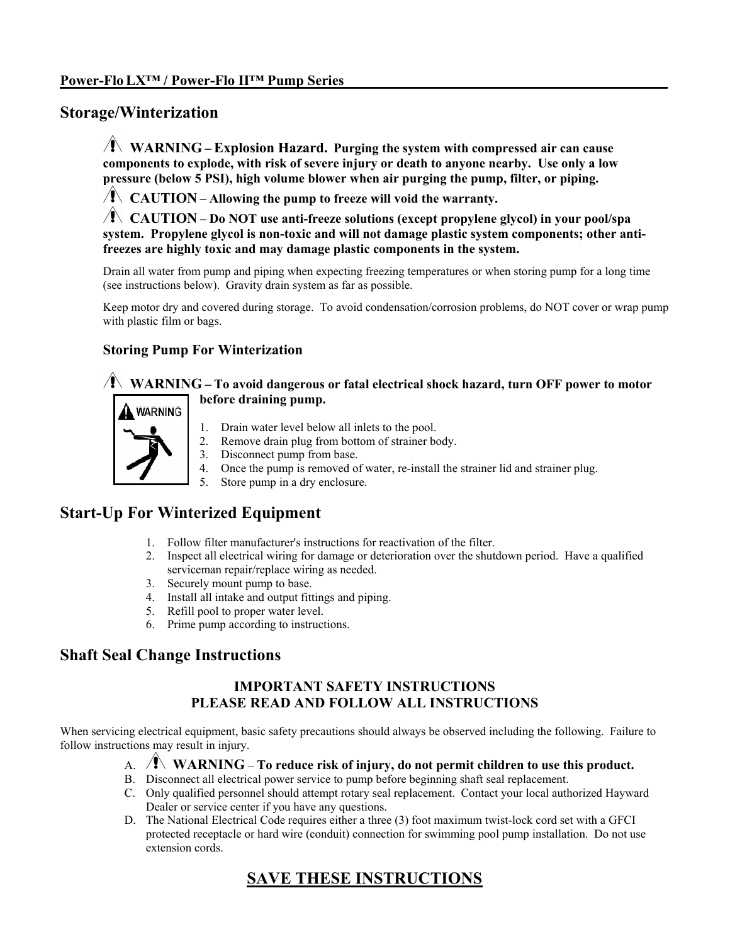## **Storage/Winterization**

 **WARNING – Explosion Hazard. Purging the system with compressed air can cause components to explode, with risk of severe injury or death to anyone nearby. Use only a low pressure (below 5 PSI), high volume blower when air purging the pump, filter, or piping.** 

**CAUTION – Allowing the pump to freeze will void the warranty.**

**CAUTION** – **Do NOT use anti-freeze solutions (except propylene glycol) in your pool/spa system. Propylene glycol is non-toxic and will not damage plastic system components; other antifreezes are highly toxic and may damage plastic components in the system.** 

Drain all water from pump and piping when expecting freezing temperatures or when storing pump for a long time (see instructions below). Gravity drain system as far as possible.

Keep motor dry and covered during storage. To avoid condensation/corrosion problems, do NOT cover or wrap pump with plastic film or bags.

## **Storing Pump For Winterization**

## **WARNING – To avoid dangerous or fatal electrical shock hazard, turn OFF power to motor before draining pump.**



- 1. Drain water level below all inlets to the pool.
- 2. Remove drain plug from bottom of strainer body.
- 3. Disconnect pump from base.
- 4. Once the pump is removed of water, re-install the strainer lid and strainer plug.
- 5. Store pump in a dry enclosure.

# **Start-Up For Winterized Equipment**

- 1. Follow filter manufacturer's instructions for reactivation of the filter.
- 2. Inspect all electrical wiring for damage or deterioration over the shutdown period. Have a qualified serviceman repair/replace wiring as needed.
- 3. Securely mount pump to base.
- 4. Install all intake and output fittings and piping.
- 5. Refill pool to proper water level.
- 6. Prime pump according to instructions.

## **Shaft Seal Change Instructions**

## **IMPORTANT SAFETY INSTRUCTIONS PLEASE READ AND FOLLOW ALL INSTRUCTIONS**

When servicing electrical equipment, basic safety precautions should always be observed including the following. Failure to follow instructions may result in injury.

- A. **WARNING To reduce risk of injury, do not permit children to use this product.**
- B. Disconnect all electrical power service to pump before beginning shaft seal replacement.
- C. Only qualified personnel should attempt rotary seal replacement. Contact your local authorized Hayward Dealer or service center if you have any questions.
- D. The National Electrical Code requires either a three (3) foot maximum twist-lock cord set with a GFCI protected receptacle or hard wire (conduit) connection for swimming pool pump installation. Do not use extension cords.

# **SAVE THESE INSTRUCTIONS**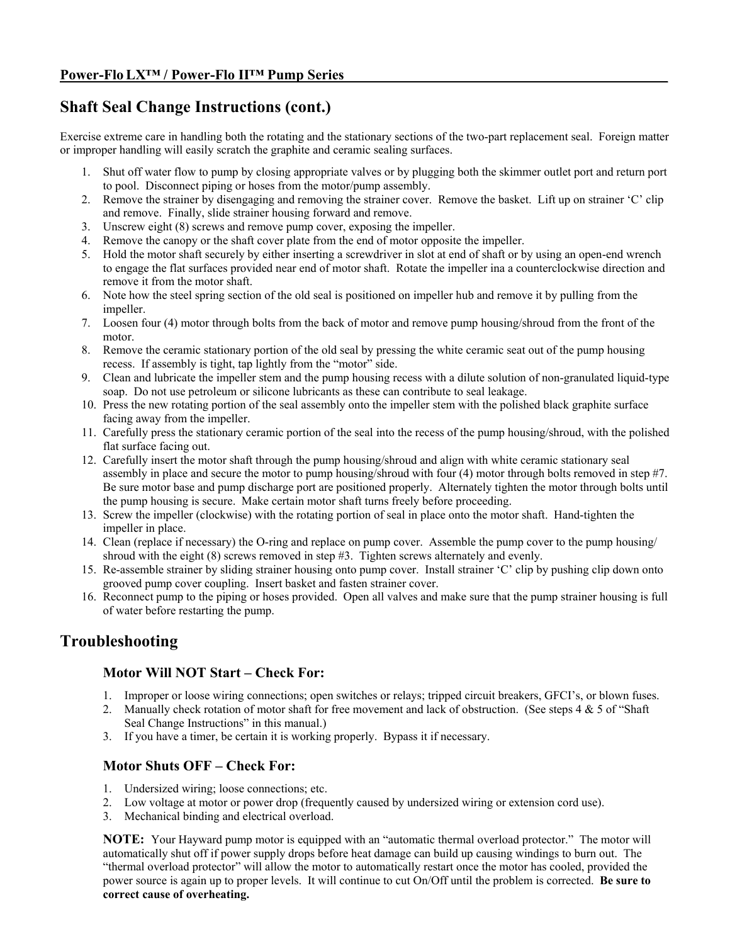# **Shaft Seal Change Instructions (cont.)**

Exercise extreme care in handling both the rotating and the stationary sections of the two-part replacement seal. Foreign matter or improper handling will easily scratch the graphite and ceramic sealing surfaces.

- 1. Shut off water flow to pump by closing appropriate valves or by plugging both the skimmer outlet port and return port to pool. Disconnect piping or hoses from the motor/pump assembly.
- 2. Remove the strainer by disengaging and removing the strainer cover. Remove the basket. Lift up on strainer 'C' clip and remove. Finally, slide strainer housing forward and remove.
- 3. Unscrew eight (8) screws and remove pump cover, exposing the impeller.
- 4. Remove the canopy or the shaft cover plate from the end of motor opposite the impeller.
- 5. Hold the motor shaft securely by either inserting a screwdriver in slot at end of shaft or by using an open-end wrench to engage the flat surfaces provided near end of motor shaft. Rotate the impeller ina a counterclockwise direction and remove it from the motor shaft.
- 6. Note how the steel spring section of the old seal is positioned on impeller hub and remove it by pulling from the impeller.
- 7. Loosen four (4) motor through bolts from the back of motor and remove pump housing/shroud from the front of the motor.
- 8. Remove the ceramic stationary portion of the old seal by pressing the white ceramic seat out of the pump housing recess. If assembly is tight, tap lightly from the "motor" side.
- 9. Clean and lubricate the impeller stem and the pump housing recess with a dilute solution of non-granulated liquid-type soap. Do not use petroleum or silicone lubricants as these can contribute to seal leakage.
- 10. Press the new rotating portion of the seal assembly onto the impeller stem with the polished black graphite surface facing away from the impeller.
- 11. Carefully press the stationary ceramic portion of the seal into the recess of the pump housing/shroud, with the polished flat surface facing out.
- 12. Carefully insert the motor shaft through the pump housing/shroud and align with white ceramic stationary seal assembly in place and secure the motor to pump housing/shroud with four (4) motor through bolts removed in step #7. Be sure motor base and pump discharge port are positioned properly. Alternately tighten the motor through bolts until the pump housing is secure. Make certain motor shaft turns freely before proceeding.
- 13. Screw the impeller (clockwise) with the rotating portion of seal in place onto the motor shaft. Hand-tighten the impeller in place.
- 14. Clean (replace if necessary) the O-ring and replace on pump cover. Assemble the pump cover to the pump housing/ shroud with the eight (8) screws removed in step #3. Tighten screws alternately and evenly.
- 15. Re-assemble strainer by sliding strainer housing onto pump cover. Install strainer 'C' clip by pushing clip down onto grooved pump cover coupling. Insert basket and fasten strainer cover.
- 16. Reconnect pump to the piping or hoses provided. Open all valves and make sure that the pump strainer housing is full of water before restarting the pump.

# **Troubleshooting**

#### **Motor Will NOT Start – Check For:**

- 1. Improper or loose wiring connections; open switches or relays; tripped circuit breakers, GFCI's, or blown fuses.
- 2. Manually check rotation of motor shaft for free movement and lack of obstruction. (See steps 4 & 5 of "Shaft" Seal Change Instructions" in this manual.)
- 3. If you have a timer, be certain it is working properly. Bypass it if necessary.

#### **Motor Shuts OFF – Check For:**

- 1. Undersized wiring; loose connections; etc.
- 2. Low voltage at motor or power drop (frequently caused by undersized wiring or extension cord use).
- 3. Mechanical binding and electrical overload.

**NOTE:** Your Hayward pump motor is equipped with an "automatic thermal overload protector." The motor will automatically shut off if power supply drops before heat damage can build up causing windings to burn out. The "thermal overload protector" will allow the motor to automatically restart once the motor has cooled, provided the power source is again up to proper levels. It will continue to cut On/Off until the problem is corrected. **Be sure to correct cause of overheating.**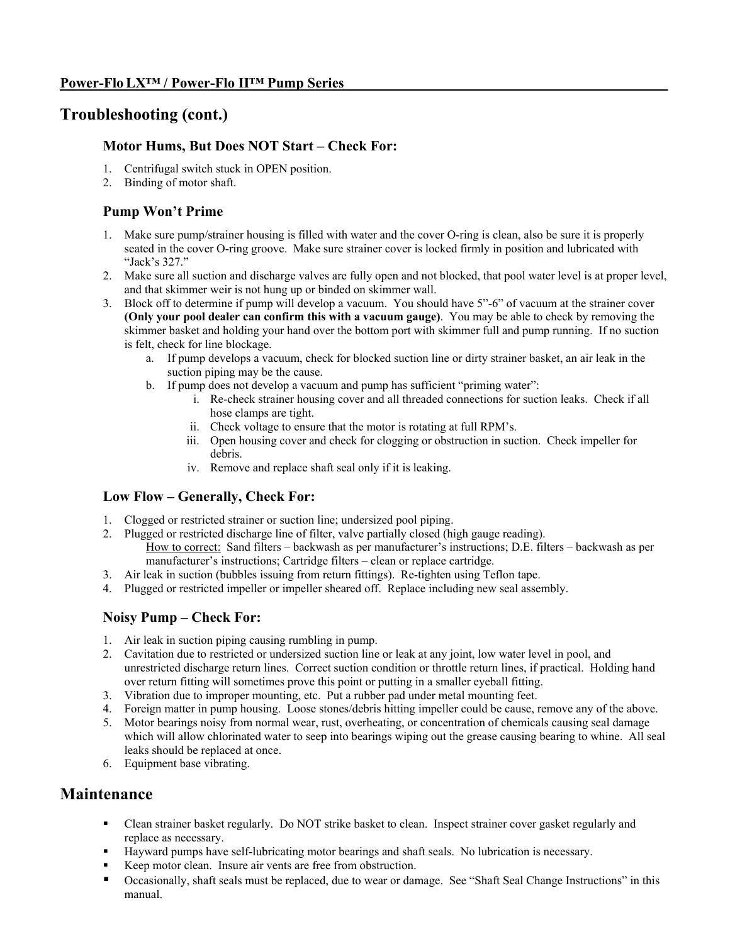## **Troubleshooting (cont.)**

### **Motor Hums, But Does NOT Start – Check For:**

- 1. Centrifugal switch stuck in OPEN position.
- 2. Binding of motor shaft.

## **Pump Won't Prime**

- 1. Make sure pump/strainer housing is filled with water and the cover O-ring is clean, also be sure it is properly seated in the cover O-ring groove. Make sure strainer cover is locked firmly in position and lubricated with "Jack's 327."
- 2. Make sure all suction and discharge valves are fully open and not blocked, that pool water level is at proper level, and that skimmer weir is not hung up or binded on skimmer wall.
- 3. Block off to determine if pump will develop a vacuum. You should have 5"-6" of vacuum at the strainer cover **(Only your pool dealer can confirm this with a vacuum gauge)**. You may be able to check by removing the skimmer basket and holding your hand over the bottom port with skimmer full and pump running. If no suction is felt, check for line blockage.
	- a. If pump develops a vacuum, check for blocked suction line or dirty strainer basket, an air leak in the suction piping may be the cause.
	- b. If pump does not develop a vacuum and pump has sufficient "priming water":
		- i. Re-check strainer housing cover and all threaded connections for suction leaks. Check if all hose clamps are tight.
		- ii. Check voltage to ensure that the motor is rotating at full RPM's.
		- iii. Open housing cover and check for clogging or obstruction in suction. Check impeller for debris.
		- iv. Remove and replace shaft seal only if it is leaking.

#### **Low Flow – Generally, Check For:**

- 1. Clogged or restricted strainer or suction line; undersized pool piping.
- 2. Plugged or restricted discharge line of filter, valve partially closed (high gauge reading). How to correct: Sand filters – backwash as per manufacturer's instructions; D.E. filters – backwash as per manufacturer's instructions; Cartridge filters – clean or replace cartridge.
- 3. Air leak in suction (bubbles issuing from return fittings). Re-tighten using Teflon tape.
- 4. Plugged or restricted impeller or impeller sheared off. Replace including new seal assembly.

#### **Noisy Pump – Check For:**

- 1. Air leak in suction piping causing rumbling in pump.
- 2. Cavitation due to restricted or undersized suction line or leak at any joint, low water level in pool, and unrestricted discharge return lines. Correct suction condition or throttle return lines, if practical. Holding hand over return fitting will sometimes prove this point or putting in a smaller eyeball fitting.
- 3. Vibration due to improper mounting, etc. Put a rubber pad under metal mounting feet.
- 4. Foreign matter in pump housing. Loose stones/debris hitting impeller could be cause, remove any of the above.
- 5. Motor bearings noisy from normal wear, rust, overheating, or concentration of chemicals causing seal damage which will allow chlorinated water to seep into bearings wiping out the grease causing bearing to whine. All seal leaks should be replaced at once.
- 6. Equipment base vibrating.

# **Maintenance**

- Clean strainer basket regularly. Do NOT strike basket to clean. Inspect strainer cover gasket regularly and replace as necessary.
- Hayward pumps have self-lubricating motor bearings and shaft seals. No lubrication is necessary.
- Keep motor clean. Insure air vents are free from obstruction.
- Occasionally, shaft seals must be replaced, due to wear or damage. See "Shaft Seal Change Instructions" in this manual.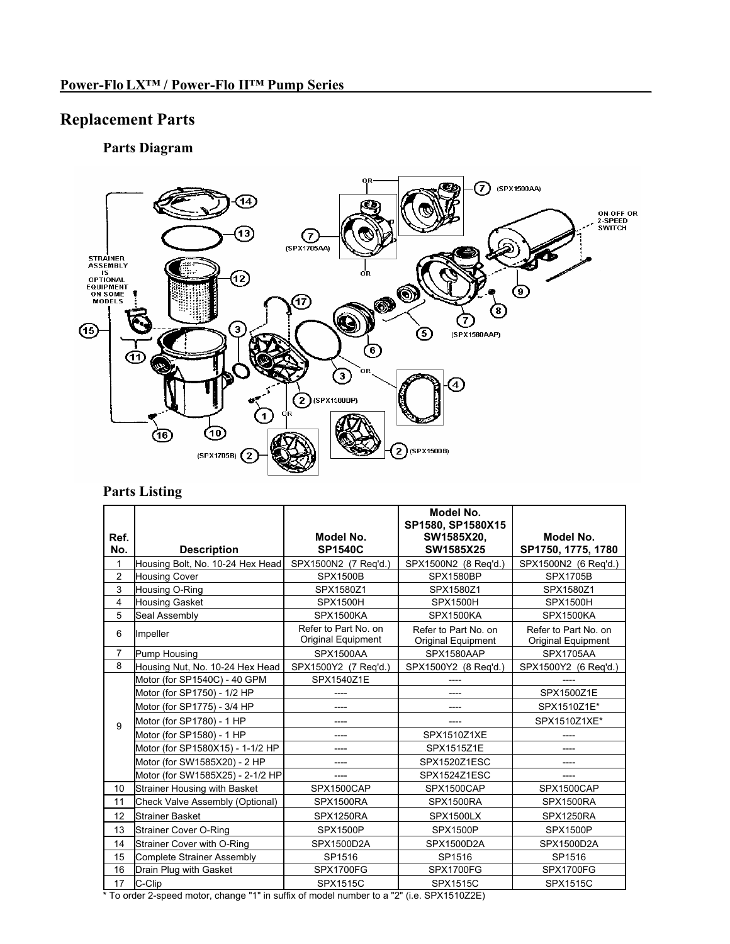# **Replacement Parts**

# **Parts Diagram**



## **Parts Listing**

|                |                                     |                                           | Model No.<br>SP1580, SP1580X15             |                                            |
|----------------|-------------------------------------|-------------------------------------------|--------------------------------------------|--------------------------------------------|
| Ref.<br>No.    | <b>Description</b>                  | Model No.<br><b>SP1540C</b>               | SW1585X20,<br>SW1585X25                    | Model No.<br>SP1750, 1775, 1780            |
| 1              | Housing Bolt, No. 10-24 Hex Head    | SPX1500N2 (7 Req'd.)                      | SPX1500N2 (8 Req'd.)                       | SPX1500N2 (6 Req'd.)                       |
| $\overline{2}$ | <b>Housing Cover</b>                | <b>SPX1500B</b>                           | <b>SPX1580BP</b>                           | <b>SPX1705B</b>                            |
| 3              | Housing O-Ring                      | SPX1580Z1                                 | SPX1580Z1                                  | SPX1580Z1                                  |
| 4              | <b>Housing Gasket</b>               | <b>SPX1500H</b>                           | <b>SPX1500H</b>                            | <b>SPX1500H</b>                            |
| 5              | Seal Assembly                       | <b>SPX1500KA</b>                          | <b>SPX1500KA</b>                           | SPX1500KA                                  |
| 6              | Impeller                            | Refer to Part No on<br>Original Equipment | Refer to Part No. on<br>Original Equipment | Refer to Part No. on<br>Original Equipment |
| $\overline{7}$ | Pump Housing                        | <b>SPX1500AA</b>                          | SPX1580AAP                                 | <b>SPX1705AA</b>                           |
| 8              | Housing Nut, No. 10-24 Hex Head     | SPX1500Y2 (7 Reg'd.)                      | SPX1500Y2 (8 Reg'd.)                       | SPX1500Y2 (6 Reg'd.)                       |
|                | Motor (for SP1540C) - 40 GPM        | SPX1540Z1E                                |                                            |                                            |
|                | Motor (for SP1750) - 1/2 HP         | ----                                      | ----                                       | SPX1500Z1E                                 |
|                | Motor (for SP1775) - 3/4 HP         |                                           |                                            | SPX1510Z1E*                                |
| 9              | Motor (for SP1780) - 1 HP           | ----                                      |                                            | SPX1510Z1XE*                               |
|                | Motor (for SP1580) - 1 HP           | ----                                      | SPX1510Z1XE                                |                                            |
|                | Motor (for SP1580X15) - 1-1/2 HP    | ----                                      | SPX1515Z1E                                 | ----                                       |
|                | Motor (for SW1585X20) - 2 HP        |                                           | SPX1520Z1ESC                               |                                            |
|                | Motor (for SW1585X25) - 2-1/2 HP    |                                           | SPX1524Z1ESC                               |                                            |
| 10             | <b>Strainer Housing with Basket</b> | SPX1500CAP                                | SPX1500CAP                                 | SPX1500CAP                                 |
| 11             | Check Valve Assembly (Optional)     | SPX1500RA                                 | SPX1500RA                                  | SPX1500RA                                  |
| 12             | Strainer Basket                     | SPX1250RA                                 | SPX1500LX                                  | SPX1250RA                                  |
| 13             | <b>Strainer Cover O-Ring</b>        | <b>SPX1500P</b>                           | <b>SPX1500P</b>                            | <b>SPX1500P</b>                            |
| 14             | Strainer Cover with O-Ring          | SPX1500D2A                                | SPX1500D2A                                 | SPX1500D2A                                 |
| 15             | <b>Complete Strainer Assembly</b>   | SP1516                                    | SP1516                                     | SP1516                                     |
| 16             | Drain Plug with Gasket              | <b>SPX1700FG</b>                          | <b>SPX1700FG</b>                           | <b>SPX1700FG</b>                           |
| 17             | C-Clip                              | <b>SPX1515C</b>                           | SPX1515C                                   | SPX1515C                                   |

\* To order 2-speed motor, change "1" in suffix of model number to a "2" (i.e. SPX1510Z2E)